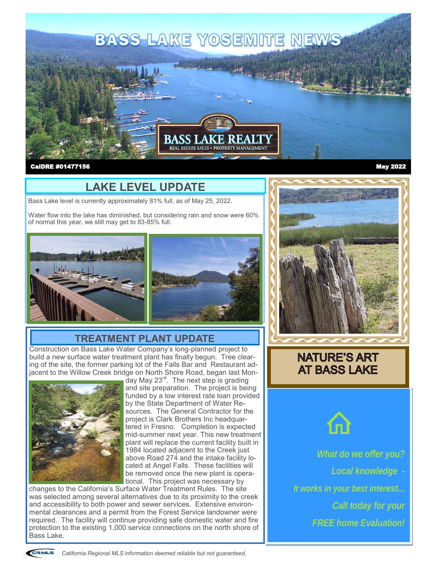

#### CalDRE #01477156

#### May 2022

## **LAKE LEVEL UPDATE**

Bass Lake level is currently approximately 81% full, as of May 25, 2022.

Water flow into the lake has diminished, but considering rain and snow were 60% of normal this year, we still may get to 83-85% full.





### **TREATMENT PLANT UPDATE**

Construction on Bass Lake Water Company's long-planned project to build a new surface water treatment plant has finally begun. Tree clearing of the site, the former parking lot of the Falls Bar and Restaurant adjacent to the Willow Creek bridge on North Shore Road, began last Mon-



day May 23<sup>rd</sup>. The next step is grading and site preparation. The project is being funded by a low interest rate loan provided by the State Department of Water Resources. The General Contractor for the project is Clark Brothers Inc headquartered in Fresno. Completion is expected mid-summer next year. This new treatment plant will replace the current facility built in 1984 located adjacent to the Creek just above Road 274 and the intake facility located at Angel Falls. These facilities will be removed once the new plant is operational. This project was necessary by

changes to the California's Surface Water Treatment Rules. The site was selected among several alternatives due to its proximity to the creek and accessibility to both power and sewer services. Extensive environmental clearances and a permit from the Forest Service landowner were required. The facility will continue providing safe domestic water and fire protection to the existing 1,000 service connections on the north shore of Bass Lake.



### **NATURE'S ART AT BASS LAKE**



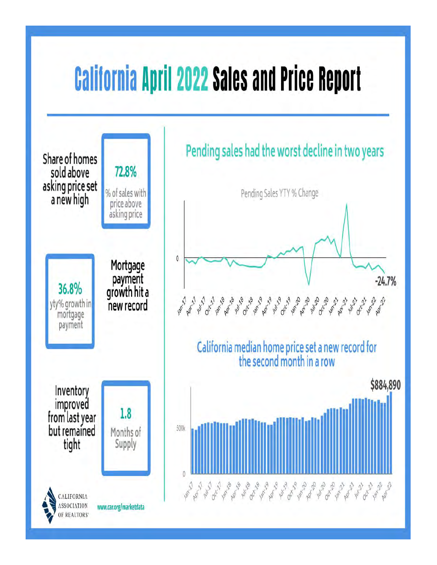